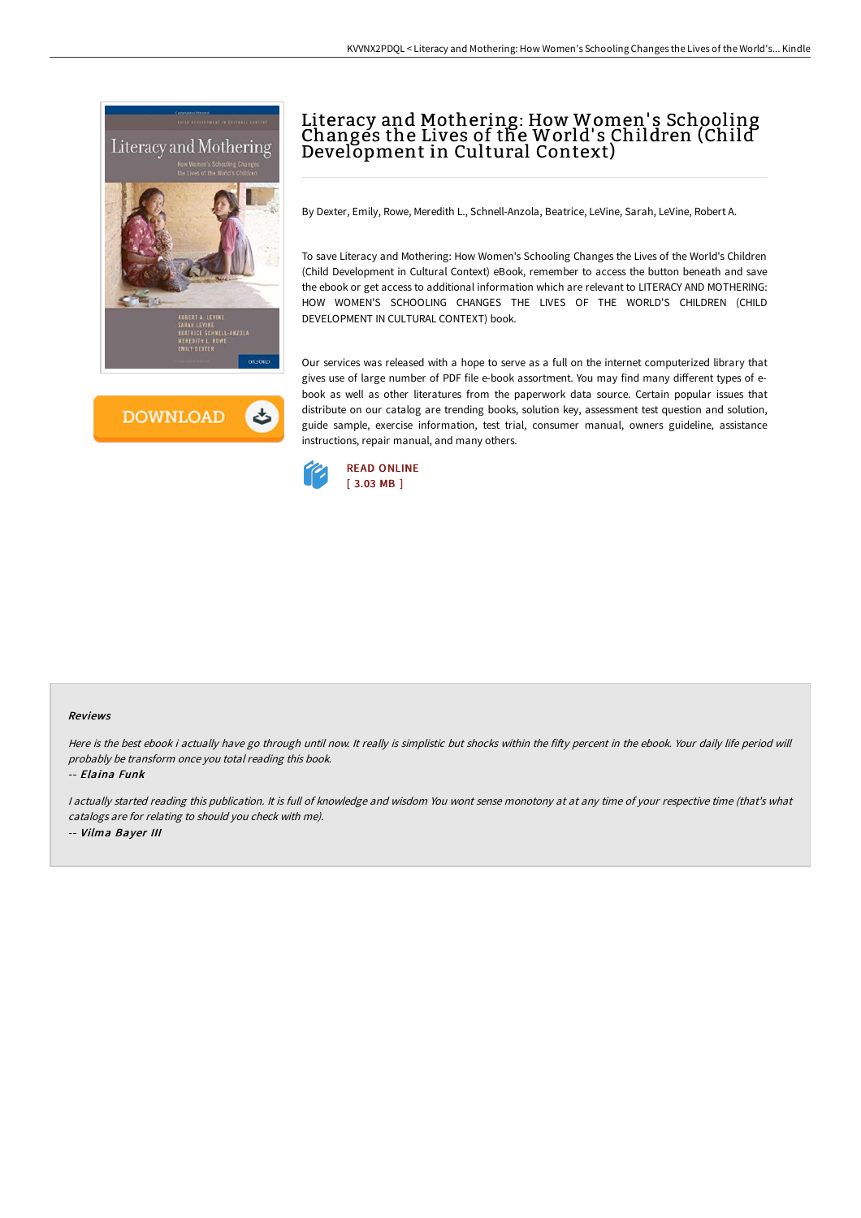



# Literacy and Mothering: How Women' s Schooling Changes the Lives of the World' s Children (Child Development in Cultural Context)

By Dexter, Emily, Rowe, Meredith L., Schnell-Anzola, Beatrice, LeVine, Sarah, LeVine, Robert A.

To save Literacy and Mothering: How Women's Schooling Changes the Lives of the World's Children (Child Development in Cultural Context) eBook, remember to access the button beneath and save the ebook or get access to additional information which are relevant to LITERACY AND MOTHERING: HOW WOMEN'S SCHOOLING CHANGES THE LIVES OF THE WORLD'S CHILDREN (CHILD DEVELOPMENT IN CULTURAL CONTEXT) book.

Our services was released with a hope to serve as a full on the internet computerized library that gives use of large number of PDF file e-book assortment. You may find many different types of ebook as well as other literatures from the paperwork data source. Certain popular issues that distribute on our catalog are trending books, solution key, assessment test question and solution, guide sample, exercise information, test trial, consumer manual, owners guideline, assistance instructions, repair manual, and many others.



#### Reviews

Here is the best ebook i actually have go through until now. It really is simplistic but shocks within the fifty percent in the ebook. Your daily life period will probably be transform once you total reading this book.

-- Elaina Funk

<sup>I</sup> actually started reading this publication. It is full of knowledge and wisdom You wont sense monotony at at any time of your respective time (that's what catalogs are for relating to should you check with me). -- Vilma Bayer III